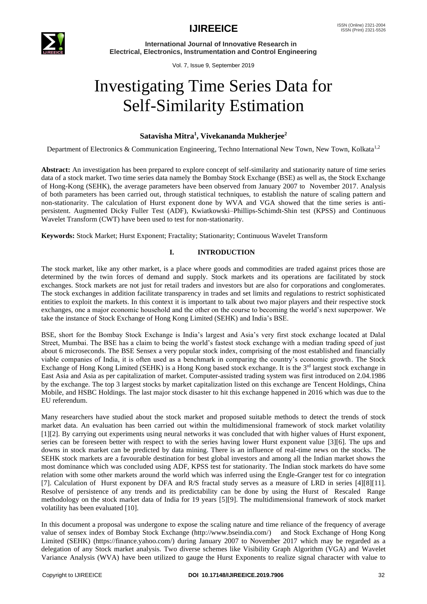

 **International Journal of Innovative Research in Electrical, Electronics, Instrumentation and Control Engineering**

Vol. 7, Issue 9, September 2019

# Investigating Time Series Data for Self-Similarity Estimation

## **Satavisha Mitra<sup>1</sup> , Vivekananda Mukherjee<sup>2</sup>**

Department of Electronics & Communication Engineering, Techno International New Town, New Town, Kolkata<sup>1,2</sup>

**Abstract:** An investigation has been prepared to explore concept of self-similarity and stationarity nature of time series data of a stock market. Two time series data namely the Bombay Stock Exchange (BSE) as well as, the Stock Exchange of Hong-Kong (SEHK), the average parameters have been observed from January 2007 to November 2017. Analysis of both parameters has been carried out, through statistical techniques, to establish the nature of scaling pattern and non-stationarity. The calculation of Hurst exponent done by WVA and VGA showed that the time series is antipersistent. Augmented Dicky Fuller Test (ADF), Kwiatkowski–Phillips-Schimdt-Shin test (KPSS) and Continuous Wavelet Transform (CWT) have been used to test for non-stationarity.

**Keywords:** Stock Market; Hurst Exponent; Fractality; Stationarity; Continuous Wavelet Transform

### **I. INTRODUCTION**

The stock market, like any other market, is a place where goods and commodities are traded against prices those are determined by the twin forces of demand and supply. Stock markets and its operations are facilitated by stock exchanges. Stock markets are not just for retail traders and investors but are also for corporations and conglomerates. The stock exchanges in addition facilitate transparency in trades and set limits and regulations to restrict sophisticated entities to exploit the markets. In this context it is important to talk about two major players and their respective stock exchanges, one a major economic household and the other on the course to becoming the world's next superpower. We take the instance of Stock Exchange of Hong Kong Limited (SEHK) and India's BSE.

BSE, short for the Bombay Stock Exchange is India's largest and Asia's very first stock exchange located at Dalal Street, Mumbai. The BSE has a claim to being the world's fastest stock exchange with a median trading speed of just about 6 microseconds. The BSE Sensex a very popular stock index, comprising of the most established and financially viable companies of India, it is often used as a benchmark in comparing the country's economic growth. The Stock Exchange of Hong Kong Limited (SEHK) is a Hong Kong based stock exchange. It is the 3<sup>rd</sup> largest stock exchange in [East Asia](https://en.wikipedia.org/wiki/East_Asia) and Asia as per capitalization of [market.](https://en.wikipedia.org/wiki/Market_capitalization) Computer-assisted trading system was first introduced on 2.04.1986 by the exchange. The top 3 largest stocks by market capitalization listed on this exchange are Tencent Holdings, China Mobile, [and HSBC Holdings.](https://en.wikipedia.org/wiki/HSBC) The last major stock disaster to hit this exchange happened in 2016 which was due to the EU referendum.

Many researchers have studied about the stock market and proposed suitable methods to detect the trends of stock market data. An evaluation has been carried out within the multidimensional framework of stock market volatility [1][2]. By carrying out experiments using neural networks it was concluded that with higher values of Hurst exponent, series can be foreseen better with respect to with the series having lower Hurst exponent value [3][6]. The ups and downs in stock market can be predicted by data mining. There is an influence of real-time news on the stocks. The SEHK stock markets are a favourable destination for best global investors and among all the Indian market shows the most dominance which was concluded using ADF, KPSS test for stationarity. The Indian stock markets do have some relation with some other markets around the world which was inferred using the Engle-Granger test for co integration [7]. Calculation of Hurst exponent by DFA and R/S fractal study serves as a measure of LRD in series [4][8][11]. Resolve of persistence of any trends and its predictability can be done by using the Hurst of Rescaled Range methodology on the stock market data of India for 19 years [5][9]. The multidimensional framework of stock market volatility has been evaluated [10].

In this document a proposal was undergone to expose the scaling nature and time reliance of the frequency of average value of sensex index of Bombay Stock Exchange (http://www.bseindia.com/) and Stock Exchange of Hong Kong Limited (SEHK) (https://finance.yahoo.com/) during January 2007 to November 2017 which may be regarded as a delegation of any Stock market analysis. Two diverse schemes like Visibility Graph Algorithm (VGA) and Wavelet Variance Analysis (WVA) have been utilized to gauge the Hurst Exponents to realize signal character with value to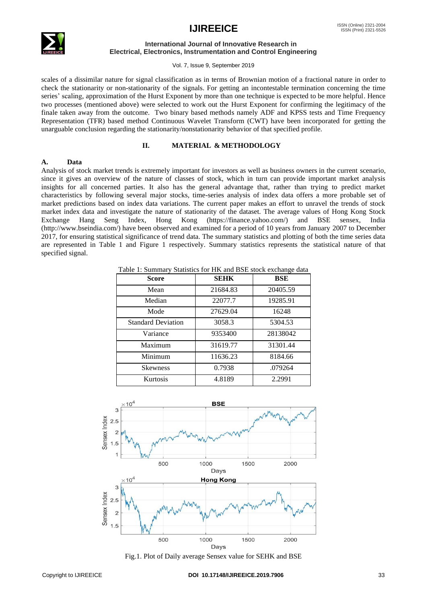

#### **International Journal of Innovative Research in Electrical, Electronics, Instrumentation and Control Engineering**

Vol. 7, Issue 9, September 2019

scales of a dissimilar nature for signal classification as in terms of Brownian motion of a fractional nature in order to check the stationarity or non-stationarity of the signals. For getting an incontestable termination concerning the time series' scaling, approximation of the Hurst Exponent by more than one technique is expected to be more helpful. Hence two processes (mentioned above) were selected to work out the Hurst Exponent for confirming the legitimacy of the finale taken away from the outcome. Two binary based methods namely ADF and KPSS tests and Time Frequency Representation (TFR) based method Continuous Wavelet Transform (CWT) have been incorporated for getting the unarguable conclusion regarding the stationarity/nonstationarity behavior of that specified profile.

### **II. MATERIAL & METHODOLOGY**

#### **A. Data**

Analysis of stock market trends is extremely important for investors as well as business owners in the current scenario, since it gives an overview of the nature of classes of stock, which in turn can provide important market analysis insights for all concerned parties. It also has the general advantage that, rather than trying to predict market characteristics by following several major stocks, time-series analysis of index data offers a more probable set of market predictions based on index data variations. The current paper makes an effort to unravel the trends of stock market index data and investigate the nature of stationarity of the dataset. The average values of Hong Kong Stock Exchange Hang Seng Index, Hong Kong (https://finance.yahoo.com/) and BSE sensex, India (http://www.bseindia.com/) have been observed and examined for a period of 10 years from January 2007 to December 2017, for ensuring statistical significance of trend data. The summary statistics and plotting of both the time series data are represented in Table 1 and Figure 1 respectively. Summary statistics represents the statistical nature of that specified signal.

Table 1: Summary Statistics for HK and BSE stock exchange data

| Score                     | <b>SEHK</b> | <b>BSE</b> |
|---------------------------|-------------|------------|
| Mean                      | 21684.83    | 20405.59   |
| Median                    | 22077.7     | 19285.91   |
| Mode                      | 27629.04    | 16248      |
| <b>Standard Deviation</b> | 3058.3      | 5304.53    |
| Variance                  | 9353400     | 28138042   |
| Maximum                   | 31619.77    | 31301.44   |
| Minimum                   | 11636.23    | 8184.66    |
| <b>Skewness</b>           | 0.7938      | .079264    |
| Kurtosis                  | 4.8189      | 2.2991     |



Fig.1. Plot of Daily average Sensex value for SEHK and BSE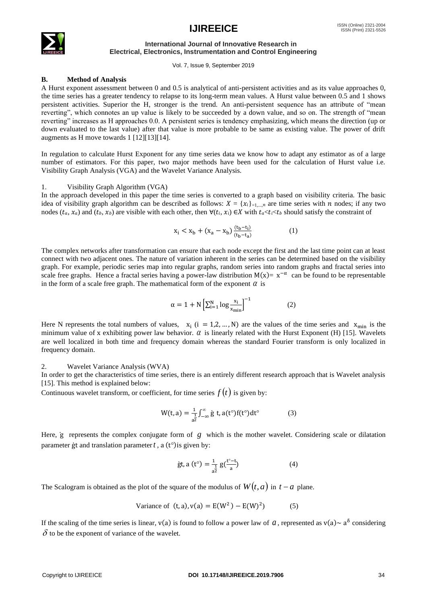

#### **International Journal of Innovative Research in Electrical, Electronics, Instrumentation and Control Engineering**

Vol. 7, Issue 9, September 2019

### **B. Method of Analysis**

A Hurst exponent assessment between 0 and 0.5 is analytical of anti-persistent activities and as its value approaches 0, the time series has a greater tendency to relapse to its long-term mean values. A Hurst value between 0.5 and 1 shows persistent activities. Superior the H, stronger is the trend. An anti-persistent sequence has an attribute of "mean reverting", which connotes an up value is likely to be succeeded by a down value, and so on. The strength of "mean reverting" increases as H approaches 0.0. A persistent series is tendency emphasizing, which means the direction (up or down evaluated to the last value) after that value is more probable to be same as existing value. The power of drift augments as H move towards 1 [12][13][14].

In regulation to calculate Hurst Exponent for any time series data we know how to adapt any estimator as of a large number of estimators. For this paper, two major methods have been used for the calculation of Hurst value i.e. Visibility Graph Analysis (VGA) and the Wavelet Variance Analysis.

### 1. Visibility Graph Algorithm (VGA)

In the approach developed in this paper the time series is converted to a graph based on visibility criteria. The basic idea of visibility graph algorithm can be described as follows:  $X = \{x_i\}_{i=1,\dots,n}$  are time series with *n* nodes; if any two nodes  $(t_a, x_a)$  and  $(t_b, x_b)$  are visible with each other, then  $\forall (t_i, x_i) \in X$  with  $t_a < t_i < t_b$  should satisfy the constraint of

$$
x_i < x_b + (x_a - x_b) \frac{(t_b - t_i)}{(t_b - t_a)} \tag{1}
$$

The complex networks after transformation can ensure that each node except the first and the last time point can at least connect with two adjacent ones. The nature of variation inherent in the series can be determined based on the visibility graph. For example, periodic series map into regular graphs, random series into random graphs and fractal series into scale free graphs. Hence a fractal series having a power-law distribution  $M(x) = x^{-\alpha}$  can be found to be representable in the form of a scale free graph. The mathematical form of the exponent  $\alpha$  is

$$
\alpha = 1 + N \left[ \sum_{i=1}^{N} \log \frac{x_i}{x_{\min}} \right]^{-1} \tag{2}
$$

Here N represents the total numbers of values,  $x_i$  ( $i = 1, 2, ..., N$ ) are the values of the time series and  $x_{min}$  is the minimum value of x exhibiting power law behavior.  $\alpha$  is linearly related with the Hurst Exponent (H) [15]. Wavelets are well localized in both time and frequency domain whereas the standard Fourier transform is only localized in frequency domain.

#### 2. Wavelet Variance Analysis (WVA)

In order to get the characteristics of time series, there is an entirely different research approach that is Wavelet analysis [15]. This method is explained below:

Continuous wavelet transform, or coefficient, for time series  $f(t)$  is given by:

$$
W(t, a) = \frac{1}{a^2} \int_{-\infty}^{\infty} \dot{g} \, t, a(t^{\circ}) f(t^{\circ}) dt^{\circ} \tag{3}
$$

Here, ġ represents the complex conjugate form of *g* which is the mother wavelet. Considering scale or dilatation parameter ġt and translation parameter *t* , a (t°)is given by:

$$
\text{gt, a (t}^{\circ}) = \frac{1}{a^{\frac{1}{2}}} g\left(\frac{t^{\circ} - t}{a}\right) \tag{4}
$$

The Scalogram is obtained as the plot of the square of the modulus of  $W(t, a)$  in  $t - a$  plane.

Variance of 
$$
(t, a)
$$
,  $v(a) = E(W^2) - E(W)^2$  (5)

If the scaling of the time series is linear,  $v(a)$  is found to follow a power law of a, represented as  $v(a) \sim a^{\delta}$  considering  $\delta$  to be the exponent of variance of the wavelet.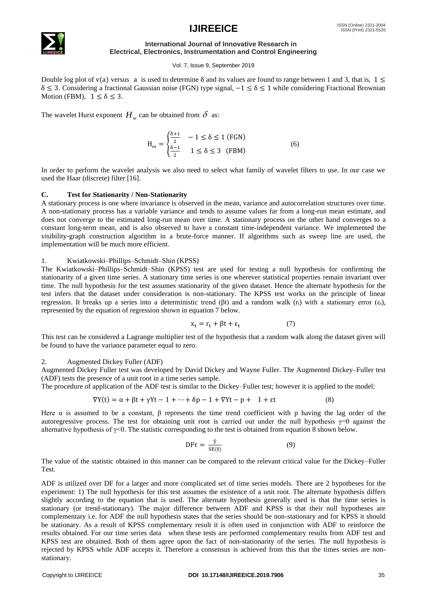# ISSN (Print) 2321-5526



# $\mathsf{IJIR} \mathsf{EEICE}$   $\mathsf{^{ISSN}}$   $^{(Online) 2321-2004}$

#### **International Journal of Innovative Research in Electrical, Electronics, Instrumentation and Control Engineering**

#### Vol. 7, Issue 9, September 2019

Double log plot of v(a) versus a is used to determine  $\delta$  and its values are found to range between 1 and 3, that is,  $1 \le$ δ ≤ 3. Considering a fractional Gaussian noise (FGN) type signal,−1 ≤ δ ≤ 1 while considering Fractional Brownian Motion (FBM),  $1 \le \delta \le 3$ .

The wavelet Hurst exponent  $H_w$  can be obtained from  $\delta$  as:

$$
H_{\omega} = \begin{cases} \frac{\delta + 1}{2} & -1 \le \delta \le 1 \text{ (FGN)}\\ \frac{\delta - 1}{2} & 1 \le \delta \le 3 \text{ (FBM)} \end{cases}
$$
(6)

In order to perform the wavelet analysis we also need to select what family of wavelet filters to use. In our case we used the Haar (discrete) filter [16].

#### **C. Test for Stationarity / Non-Stationarity**

A stationary process is one where invariance is observed in the mean, variance and autocorrelation structures over time. A non-stationary process has a variable variance and tends to assume values far from a long-run mean estimate, and does not converge to the estimated long-run mean over time. A stationary process on the other hand converges to a constant long-term mean, and is also observed to have a constant time-independent variance. We implemented the visibility-graph construction algorithm in a brute-force manner. If algorithms such as sweep line are used, the implementation will be much more efficient.

#### 1. Kwiatkowski–Phillips–Schmidt–Shin (KPSS)

The Kwiatkowski–Phillips–Schmidt–Shin (KPSS) test are used for testing a null hypothesis for confirming the stationarity of a given time series. A stationary time series is one wherever statistical properties remain invariant over time. The [null hypothesis](http://www.statisticshowto.com/probability-and-statistics/null-hypothesis/) for the test assumes stationarity of the given dataset. Hence the [alternate hypothesis](http://www.statisticshowto.com/what-is-an-alternate-hypothesis/) for the test infers that the dataset under consideration is non-stationary. The KPSS test works on the principle of [linear](http://www.statisticshowto.com/simple-linear-regression/)  [regression.](http://www.statisticshowto.com/simple-linear-regression/) It breaks up a series into a [deterministic t](http://www.statisticshowto.com/deterministic/)rend (βt) and a [random walk](http://www.statisticshowto.com/random-walk/) ( $r_t$ ) with a stationary error (ε<sub>t</sub>), represented by the equation of regression shown in equation 7 below.

$$
x_t = r_t + \beta t + \varepsilon_t \tag{7}
$$

This test can be considered a Lagrange multiplier test of the hypothesis that a random walk along the dataset given will be found to have the variance parameter equal to zero.

#### 2. Augmented Dickey Fuller (ADF)

Augmented Dickey Fuller test was developed by David Dickey and Wayne Fuller. The Augmented Dickey–Fuller test (ADF) tests the presence of a [unit root](https://en.wikipedia.org/wiki/Unit_root) in a [time series](https://en.wikipedia.org/wiki/Time_series) sample.

The procedure of application of the ADF test is similar to the Dickey–Fuller test; however it is applied to the model:

$$
\nabla Y(t) = \alpha + \beta t + \gamma Yt - 1 + \dots + \delta p - 1 + \nabla Yt - p + 1 + \varepsilon t \tag{8}
$$

Here  $\alpha$  is assumed to be a constant,  $\beta$  represents the time trend coefficient with p having the lag order of the autoregressive process. The test for obtaining unit root is carried out under the null hypothesis  $\gamma=0$  against the alternative hypothesis of γ<0. The statistic corresponding to the test is obtained from equation 8 shown below.

$$
\text{DF}\tau = \frac{\hat{\gamma}}{\text{SE}(\hat{\gamma})} \tag{9}
$$

The value of the statistic obtained in this manner can be compared to the relevant critical value for the Dickey–Fuller Test.

ADF is utilized over DF for a larger and more complicated set of time series models. There are 2 hypotheses for the experiment: 1) The [null hypothesis](http://www.statisticshowto.com/probability-and-statistics/null-hypothesis/) for this test assumes the existence of a unit root. The [alternate hypothesis](http://www.statisticshowto.com/what-is-an-alternate-hypothesis/) differs slightly according to the equation that is used. The alternate hypothesis generally used is that the time series is stationary (or trend-stationary). The major difference between ADF and KPSS is that their null hypotheses are complementary i.e. for ADF the null hypothesis states that the series should be non-stationary and for KPSS it should be stationary. As a result of KPSS complementary result it is often used in conjunction with ADF to reinforce the results obtained. For our time series data when these tests are performed complementary results from ADF test and KPSS test are obtained. Both of them agree upon the fact of non-stationarity of the series. The null hypothesis is rejected by KPSS while ADF accepts it. Therefore a consensus is achieved from this that the times series are nonstationary.

#### Copyright to IJIREEICE **DOI 10.17148/IJIREEIC[E.2019.7906](http://206.189.223.122/wp-content/uploads/2014/12/IJIREEICE-20.pdf)** 35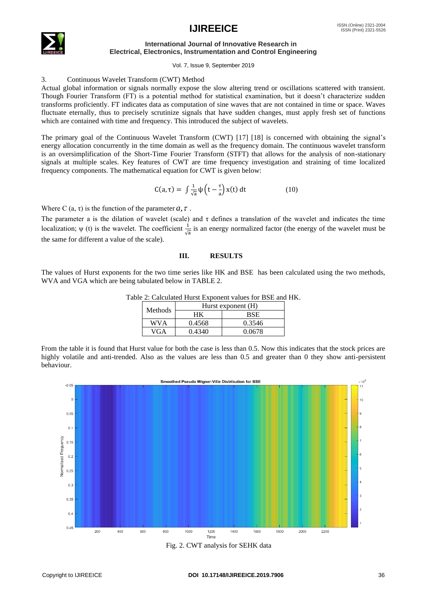

#### **International Journal of Innovative Research in Electrical, Electronics, Instrumentation and Control Engineering**

Vol. 7, Issue 9, September 2019

### 3. Continuous Wavelet Transform (CWT) Method

Actual global information or signals normally expose the slow altering trend or oscillations scattered with transient. Though Fourier Transform (FT) is a potential method for statistical examination, but it doesn't characterize sudden transforms proficiently. FT indicates data as computation of sine waves that are not contained in time or space. Waves fluctuate eternally, thus to precisely scrutinize signals that have sudden changes, must apply fresh set of functions which are contained with time and frequency. This introduced the subject of wavelets.

The primary goal of the Continuous Wavelet Transform (CWT) [17] [18] is concerned with obtaining the signal's energy allocation concurrently in the time domain as well as the frequency domain. The continuous wavelet transform is an oversimplification of the Short-Time Fourier Transform (STFT) that allows for the analysis of non-stationary signals at multiple scales. Key features of CWT are time frequency investigation and straining of time localized frequency components. The mathematical equation for CWT is given below:

$$
C(a,\tau) = \int \frac{1}{\sqrt{a}} \psi \left( t - \frac{\tau}{a} \right) x(t) dt \tag{10}
$$

Where C  $(a, \tau)$  is the function of the parameter  $a, \tau$ .

The parameter a is the dilation of wavelet (scale) and  $\tau$  defines a translation of the wavelet and indicates the time localization;  $\psi$  (t) is the wavelet. The coefficient  $\frac{1}{\sqrt{a}}$  is an energy normalized factor (the energy of the wavelet must be the same for different a value of the scale).

### **III. RESULTS**

The values of Hurst exponents for the two time series like HK and BSE has been calculated using the two methods, WVA and VGA which are being tabulated below in TABLE 2.

| <b>Methods</b> | Hurst exponent (H) |        |  |  |
|----------------|--------------------|--------|--|--|
|                |                    | BSE    |  |  |
| WVA            | 0.4568             | 0.3546 |  |  |
| VGA            | 0.4340             | 0.0678 |  |  |

|  | Table 2: Calculated Hurst Exponent values for BSE and HK. |  |  |  |  |
|--|-----------------------------------------------------------|--|--|--|--|
|  |                                                           |  |  |  |  |

From the table it is found that Hurst value for both the case is less than 0.5. Now this indicates that the stock prices are highly volatile and anti-trended. Also as the values are less than 0.5 and greater than 0 they show anti-persistent behaviour.



Fig. 2. CWT analysis for SEHK data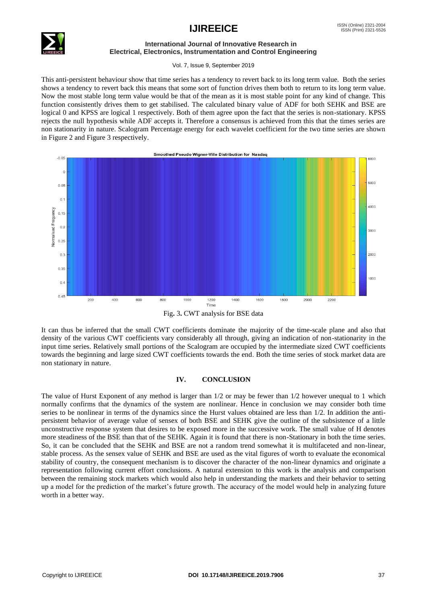

#### **International Journal of Innovative Research in Electrical, Electronics, Instrumentation and Control Engineering**

Vol. 7, Issue 9, September 2019

This anti-persistent behaviour show that time series has a tendency to revert back to its long term value. Both the series shows a tendency to revert back this means that some sort of function drives them both to return to its long term value. Now the most stable long term value would be that of the mean as it is most stable point for any kind of change. This function consistently drives them to get stabilised. The calculated binary value of ADF for both SEHK and BSE are logical 0 and KPSS are logical 1 respectively. Both of them agree upon the fact that the series is non-stationary. KPSS rejects the null hypothesis while ADF accepts it. Therefore a consensus is achieved from this that the times series are non stationarity in nature. Scalogram Percentage energy for each wavelet coefficient for the two time series are shown in Figure 2 and Figure 3 respectively.



Fig**.** 3**.** CWT analysis for BSE data

It can thus be inferred that the small CWT coefficients dominate the majority of the time-scale plane and also that density of the various CWT coefficients vary considerably all through, giving an indication of non-stationarity in the input time series. Relatively small portions of the Scalogram are occupied by the intermediate sized CWT coefficients towards the beginning and large sized CWT coefficients towards the end. Both the time series of stock market data are non stationary in nature.

### **IV. CONCLUSION**

The value of Hurst Exponent of any method is larger than 1/2 or may be fewer than 1/2 however unequal to 1 which normally confirms that the dynamics of the system are nonlinear. Hence in conclusion we may consider both time series to be nonlinear in terms of the dynamics since the Hurst values obtained are less than  $1/2$ . In addition the antipersistent behavior of average value of sensex of both BSE and SEHK give the outline of the subsistence of a little unconstructive response system that desires to be exposed more in the successive work. The small value of H denotes more steadiness of the BSE than that of the SEHK. Again it is found that there is non-Stationary in both the time series. So, it can be concluded that the SEHK and BSE are not a random trend somewhat it is multifaceted and non-linear, stable process. As the sensex value of SEHK and BSE are used as the vital figures of worth to evaluate the economical stability of country, the consequent mechanism is to discover the character of the non-linear dynamics and originate a representation following current effort conclusions. A natural extension to this work is the analysis and comparison between the remaining stock markets which would also help in understanding the markets and their behavior to setting up a model for the prediction of the market's future growth. The accuracy of the model would help in analyzing future worth in a better way.